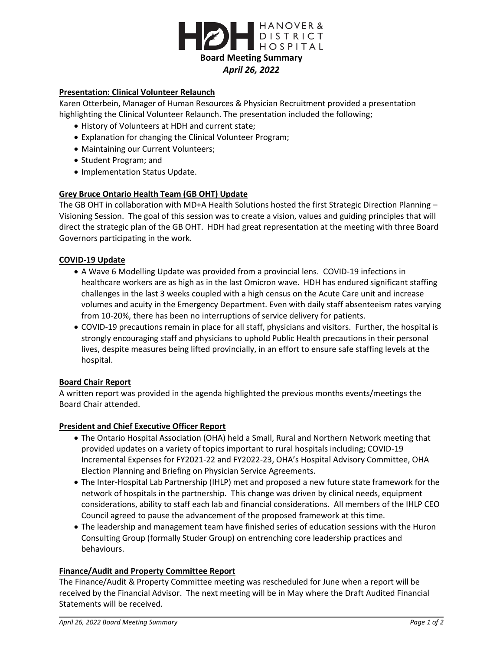

### **Presentation: Clinical Volunteer Relaunch**

Karen Otterbein, Manager of Human Resources & Physician Recruitment provided a presentation highlighting the Clinical Volunteer Relaunch. The presentation included the following;

- History of Volunteers at HDH and current state;
- Explanation for changing the Clinical Volunteer Program;
- Maintaining our Current Volunteers;
- Student Program; and
- Implementation Status Update.

# **Grey Bruce Ontario Health Team (GB OHT) Update**

The GB OHT in collaboration with MD+A Health Solutions hosted the first Strategic Direction Planning – Visioning Session. The goal of this session was to create a vision, values and guiding principles that will direct the strategic plan of the GB OHT. HDH had great representation at the meeting with three Board Governors participating in the work.

### **COVID-19 Update**

- A Wave 6 Modelling Update was provided from a provincial lens. COVID-19 infections in healthcare workers are as high as in the last Omicron wave. HDH has endured significant staffing challenges in the last 3 weeks coupled with a high census on the Acute Care unit and increase volumes and acuity in the Emergency Department. Even with daily staff absenteeism rates varying from 10-20%, there has been no interruptions of service delivery for patients.
- COVID-19 precautions remain in place for all staff, physicians and visitors. Further, the hospital is strongly encouraging staff and physicians to uphold Public Health precautions in their personal lives, despite measures being lifted provincially, in an effort to ensure safe staffing levels at the hospital.

### **Board Chair Report**

A written report was provided in the agenda highlighted the previous months events/meetings the Board Chair attended.

### **President and Chief Executive Officer Report**

- The Ontario Hospital Association (OHA) held a Small, Rural and Northern Network meeting that provided updates on a variety of topics important to rural hospitals including; COVID-19 Incremental Expenses for FY2021-22 and FY2022-23, OHA's Hospital Advisory Committee, OHA Election Planning and Briefing on Physician Service Agreements.
- The Inter-Hospital Lab Partnership (IHLP) met and proposed a new future state framework for the network of hospitals in the partnership. This change was driven by clinical needs, equipment considerations, ability to staff each lab and financial considerations. All members of the IHLP CEO Council agreed to pause the advancement of the proposed framework at this time.
- The leadership and management team have finished series of education sessions with the Huron Consulting Group (formally Studer Group) on entrenching core leadership practices and behaviours.

### **Finance/Audit and Property Committee Report**

The Finance/Audit & Property Committee meeting was rescheduled for June when a report will be received by the Financial Advisor. The next meeting will be in May where the Draft Audited Financial Statements will be received.